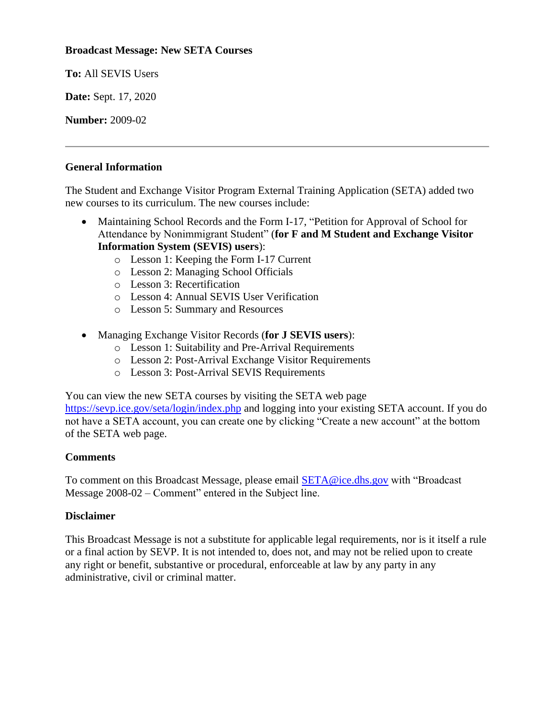## **Broadcast Message: New SETA Courses**

**To:** All SEVIS Users

**Date:** Sept. 17, 2020

**Number:** 2009-02

## **General Information**

The Student and Exchange Visitor Program External Training Application (SETA) added two new courses to its curriculum. The new courses include:

- Maintaining School Records and the Form I-17, "Petition for Approval of School for Attendance by Nonimmigrant Student" (**for F and M Student and Exchange Visitor Information System (SEVIS) users**):
	- o Lesson 1: Keeping the Form I-17 Current
	- o Lesson 2: Managing School Officials
	- o Lesson 3: Recertification
	- o Lesson 4: Annual SEVIS User Verification
	- o Lesson 5: Summary and Resources
- Managing Exchange Visitor Records (**for J SEVIS users**):
	- o Lesson 1: Suitability and Pre-Arrival Requirements
	- o Lesson 2: Post-Arrival Exchange Visitor Requirements
	- o Lesson 3: Post-Arrival SEVIS Requirements

You can view the new SETA courses by visiting the SETA web page

<https://sevp.ice.gov/seta/login/index.php> and logging into your existing SETA account. If you do not have a SETA account, you can create one by clicking "Create a new account" at the bottom of the SETA web page.

## **Comments**

To comment on this Broadcast Message, please email [SETA@ice.dhs.gov](mailto:SETA@ice.dhs.gov) with "Broadcast Message 2008-02 – Comment" entered in the Subject line.

## **Disclaimer**

This Broadcast Message is not a substitute for applicable legal requirements, nor is it itself a rule or a final action by SEVP. It is not intended to, does not, and may not be relied upon to create any right or benefit, substantive or procedural, enforceable at law by any party in any administrative, civil or criminal matter.